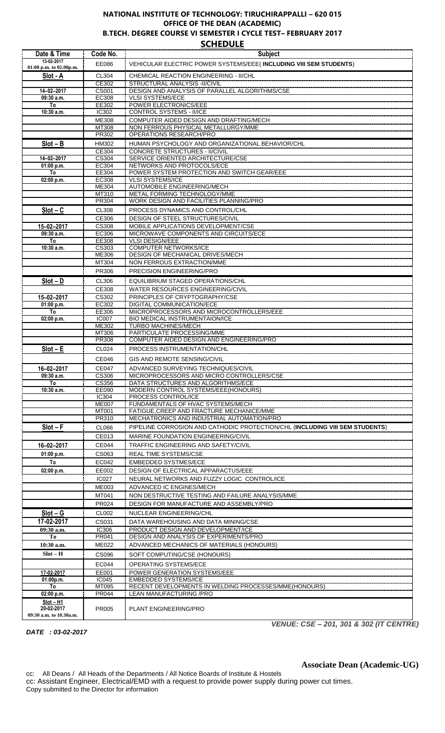## **NATIONAL INSTITUTE OF TECHNOLOGY: TIRUCHIRAPPALLI – 620 015 OFFICE OF THE DEAN (ACADEMIC) B.TECH. DEGREE COURSE VI SEMESTER I CYCLE TEST– FEBRUARY 2017**

**SCHEDULE**

| VEHICULAR ELECTRIC POWER SYSTEMS/EEE(INCLUDING VIII SEM STUDENTS)<br>EE086<br>01:00 p.m. to 02.00p.m.<br>CL304<br>CHEMICAL REACTION ENGINEERING - II/CHL<br>Slot - A<br>STRUCTURAL ANALYSIS -II/CIVIL<br>CE302<br>DESIGN AND ANALYSIS OF PARALLEL ALGORITHMS/CSE<br>14-02-2017<br>CS001<br><b>EC308</b><br><b>VLSI SYSTEMS/ECE</b><br>$09:30$ a.m.<br>To<br>EE302<br>POWER ELECTRONICS/EEE<br><b>CONTROL SYSTEMS - II/ICE</b><br>$10:30$ a.m.<br>IC302<br>ME308<br>COMPUTER AIDED DESIGN AND DRAFTING/MECH<br>MT308<br>NON FERROUS PHYSICAL METALLURGY/MME<br><b>OPERATIONS RESEARCH/PRO</b><br>PR302<br>$Slot - B$<br>HUMAN PSYCHOLOGY AND ORGANIZATIONAL BEHAVIOR/CHL<br><b>HM302</b><br><b>CONCRETE STRUCTURES - II/CIVIL</b><br>CE304<br>SERVICE ORIENTED ARCHITECTURE/CSE<br>14-02-2017<br>CS304<br>NETWORKS AND PROTOCOLS/ECE<br>01:00 p.m.<br>EC304<br>POWER SYSTEM PROTECTION AND SWITCH GEAR/EEE<br>To<br>EE304<br>EC308<br><b>VLSI SYSTEMS/ICE</b><br>02:00 p.m.<br><b>AUTOMOBILE ENGINEERING/MECH</b><br>ME304<br>METAL FORMING TECHNOLOGY/MME<br>MT310<br><b>WORK DESIGN AND FACILITIES PLANNING/PRO</b><br>PR304<br>$Slot - C$<br><b>CL308</b><br>PROCESS DYNAMICS AND CONTROL/CHL<br><b>DESIGN OF STEEL STRUCTURES/CIVIL</b><br>CE306<br>MOBILE APPLICATIONS DEVELOPMENT/CSE<br><b>CS308</b><br>15-02-2017<br>MICROWAVE COMPONENTS AND CIRCUITS/ECE<br>09:30 a.m.<br>EC306<br><b>VLSI DESIGN/EEE</b><br>To<br>EE308<br><b>COMPUTER NETWORKS/ICE</b><br>10:30 a.m.<br>CS303<br>DESIGN OF MECHANICAL DRIVES/MECH<br>ME306<br>MT304<br>NON FERROUS EXTRACTION/MME<br>PR306<br><b>PRECISION ENGINEERING/PRO</b><br>$Slot - D$<br>CL306<br>EQUILIBRIUM STAGED OPERATIONS/CHL<br>CE308<br>WATER RESOURCES ENGINEERING/CIVIL<br>15-02-2017<br>PRINCIPLES OF CRYPTOGRAPHY/CSE<br>CS302<br><b>DIGITAL COMMUNICATION/ECE</b><br>EC302<br>01:00 p.m.<br>MIICROPROCESSORS AND MICROCONTROLLERS/EEE<br>EE306<br>To<br>BIO MEDICAL INSTRUMENTAION/ICE<br>02:00 p.m.<br><b>IC007</b><br><b>TURBO MACHINES/MECH</b><br>ME302<br>PARTICULATE PROCESSING/MME<br>MT306<br>COMPUTER AIDED DESIGN AND ENGINEERING/PRO<br>PR308<br>$Slot - E$<br>PROCESS INSTRUMENTATION/CHL<br>CL024<br><b>CE046</b><br>GIS AND REMOTE SENSING/CIVIL<br>16-02-2017<br><b>CE047</b><br>ADVANCED SURVEYING TECHNIQUES/CIVIL<br>MICROPROCESSORS AND MICRO CONTROLLERS/CSE<br>09:30 a.m.<br><b>CS306</b><br>DATA STRUCTURES AND ALGORITHMS/ECE<br>CS356<br>To<br>EE090<br>MODERN CONTROL SYSTEMS/EEE(HONOURS)<br>$10:30$ a.m.<br>PROCESS CONTROL/ICE<br>IC304<br>FUNDAMENTALS OF HVAC SYSTEMS/MECH<br><b>ME007</b><br><b>MT001</b><br>FATIGUE, CREEP AND FRACTURE MECHANICE/MME<br>MECHATRONICS AND INDUSTRIAL AUTOMATION/PRO<br><b>PR310</b><br>$Slot - F$<br>PIPELINE CORROSION AND CATHODIC PROTECTION/CHL (INCLUDING VIII SEM STUDENTS)<br>CL066<br>CE013<br><b>MARINE FOUNDATION ENGINEERING/CIVIL</b><br>16-02-2017<br>CE044<br>TRAFFIC ENGINEERING AND SAFETY/CIVIL<br>01:00 p.m.<br>CS063<br>REAL TIME SYSTEMS/CSE<br>To<br>EC042<br><b>EMBEDDED SYSTMES/ECE</b><br>DESIGN OF ELECTRICAL APPARACTUS/EEE<br>02:00 p.m.<br>EE002<br>NEURAL NETWORKS AND FUZZY LOGIC CONTROL/ICE<br><b>IC027</b><br><b>ME003</b><br>ADVANCED IC ENGINES/MECH<br>MT041<br>NON DESTRUCTIVE TESTING AND FAILURE ANALYSIS/MME<br>PR024<br>DESIGN FOR MANUFACTURE AND ASSEMBLY/PRO<br>$Slot - G$<br>CL002<br>NUCLEAR ENGINEERING/CHL<br>17-02-2017<br>CS031<br>DATA WAREHOUSING AND DATA MINING/CSE<br><b>IC306</b><br>PRODUCT DESIGN AND DEVELOPMENT/ICE<br>09:30 a.m.<br>DESIGN AND ANALYSIS OF EXPERIMENTS/PRO<br>Tо<br>PR041<br><b>ME022</b><br>ADVANCED MECHANICS OF MATERIALS (HONOURS)<br>10:30 a.m.<br>$Slot - H$<br>CS096<br>SOFT COMPUTING/CSE (HONOURS)<br>EC044<br>OPERATING SYSTEMS/ECE<br>17-02-2017<br>EE001<br>POWER GENERATION SYSTEMS/EEE<br><b>EMBEDDED SYSTEMS/ICE</b><br><b>IC045</b><br>01:00p.m.<br>RECENT DEVELOPMENTS IN WELDING PROCESSES/MME(HONOURS)<br>To<br>MT095<br><b>PR044</b><br>LEAN MANUFACTURING / PRO<br>02:00 p.m.<br>$Slot - H1$<br>20-02-2017<br>PR005<br>PLANT ENGINEERING/PRO<br>09:30 a.m. to 10.30a.m. | Date & Time | Code No. | <b>Subject</b> |
|----------------------------------------------------------------------------------------------------------------------------------------------------------------------------------------------------------------------------------------------------------------------------------------------------------------------------------------------------------------------------------------------------------------------------------------------------------------------------------------------------------------------------------------------------------------------------------------------------------------------------------------------------------------------------------------------------------------------------------------------------------------------------------------------------------------------------------------------------------------------------------------------------------------------------------------------------------------------------------------------------------------------------------------------------------------------------------------------------------------------------------------------------------------------------------------------------------------------------------------------------------------------------------------------------------------------------------------------------------------------------------------------------------------------------------------------------------------------------------------------------------------------------------------------------------------------------------------------------------------------------------------------------------------------------------------------------------------------------------------------------------------------------------------------------------------------------------------------------------------------------------------------------------------------------------------------------------------------------------------------------------------------------------------------------------------------------------------------------------------------------------------------------------------------------------------------------------------------------------------------------------------------------------------------------------------------------------------------------------------------------------------------------------------------------------------------------------------------------------------------------------------------------------------------------------------------------------------------------------------------------------------------------------------------------------------------------------------------------------------------------------------------------------------------------------------------------------------------------------------------------------------------------------------------------------------------------------------------------------------------------------------------------------------------------------------------------------------------------------------------------------------------------------------------------------------------------------------------------------------------------------------------------------------------------------------------------------------------------------------------------------------------------------------------------------------------------------------------------------------------------------------------------------------------------------------------------------------------------------------------------------------------------------------------------------------------------------------------------------------------------------------------------------------------------------------------------------------------------------------------------------------------------------------------------------------------------------------------------------------------------------------------------------------------------------------------------------------------------------|-------------|----------|----------------|
|                                                                                                                                                                                                                                                                                                                                                                                                                                                                                                                                                                                                                                                                                                                                                                                                                                                                                                                                                                                                                                                                                                                                                                                                                                                                                                                                                                                                                                                                                                                                                                                                                                                                                                                                                                                                                                                                                                                                                                                                                                                                                                                                                                                                                                                                                                                                                                                                                                                                                                                                                                                                                                                                                                                                                                                                                                                                                                                                                                                                                                                                                                                                                                                                                                                                                                                                                                                                                                                                                                                                                                                                                                                                                                                                                                                                                                                                                                                                                                                                                                                                                                          | 13-02-2017  |          |                |
|                                                                                                                                                                                                                                                                                                                                                                                                                                                                                                                                                                                                                                                                                                                                                                                                                                                                                                                                                                                                                                                                                                                                                                                                                                                                                                                                                                                                                                                                                                                                                                                                                                                                                                                                                                                                                                                                                                                                                                                                                                                                                                                                                                                                                                                                                                                                                                                                                                                                                                                                                                                                                                                                                                                                                                                                                                                                                                                                                                                                                                                                                                                                                                                                                                                                                                                                                                                                                                                                                                                                                                                                                                                                                                                                                                                                                                                                                                                                                                                                                                                                                                          |             |          |                |
|                                                                                                                                                                                                                                                                                                                                                                                                                                                                                                                                                                                                                                                                                                                                                                                                                                                                                                                                                                                                                                                                                                                                                                                                                                                                                                                                                                                                                                                                                                                                                                                                                                                                                                                                                                                                                                                                                                                                                                                                                                                                                                                                                                                                                                                                                                                                                                                                                                                                                                                                                                                                                                                                                                                                                                                                                                                                                                                                                                                                                                                                                                                                                                                                                                                                                                                                                                                                                                                                                                                                                                                                                                                                                                                                                                                                                                                                                                                                                                                                                                                                                                          |             |          |                |
|                                                                                                                                                                                                                                                                                                                                                                                                                                                                                                                                                                                                                                                                                                                                                                                                                                                                                                                                                                                                                                                                                                                                                                                                                                                                                                                                                                                                                                                                                                                                                                                                                                                                                                                                                                                                                                                                                                                                                                                                                                                                                                                                                                                                                                                                                                                                                                                                                                                                                                                                                                                                                                                                                                                                                                                                                                                                                                                                                                                                                                                                                                                                                                                                                                                                                                                                                                                                                                                                                                                                                                                                                                                                                                                                                                                                                                                                                                                                                                                                                                                                                                          |             |          |                |
|                                                                                                                                                                                                                                                                                                                                                                                                                                                                                                                                                                                                                                                                                                                                                                                                                                                                                                                                                                                                                                                                                                                                                                                                                                                                                                                                                                                                                                                                                                                                                                                                                                                                                                                                                                                                                                                                                                                                                                                                                                                                                                                                                                                                                                                                                                                                                                                                                                                                                                                                                                                                                                                                                                                                                                                                                                                                                                                                                                                                                                                                                                                                                                                                                                                                                                                                                                                                                                                                                                                                                                                                                                                                                                                                                                                                                                                                                                                                                                                                                                                                                                          |             |          |                |
|                                                                                                                                                                                                                                                                                                                                                                                                                                                                                                                                                                                                                                                                                                                                                                                                                                                                                                                                                                                                                                                                                                                                                                                                                                                                                                                                                                                                                                                                                                                                                                                                                                                                                                                                                                                                                                                                                                                                                                                                                                                                                                                                                                                                                                                                                                                                                                                                                                                                                                                                                                                                                                                                                                                                                                                                                                                                                                                                                                                                                                                                                                                                                                                                                                                                                                                                                                                                                                                                                                                                                                                                                                                                                                                                                                                                                                                                                                                                                                                                                                                                                                          |             |          |                |
|                                                                                                                                                                                                                                                                                                                                                                                                                                                                                                                                                                                                                                                                                                                                                                                                                                                                                                                                                                                                                                                                                                                                                                                                                                                                                                                                                                                                                                                                                                                                                                                                                                                                                                                                                                                                                                                                                                                                                                                                                                                                                                                                                                                                                                                                                                                                                                                                                                                                                                                                                                                                                                                                                                                                                                                                                                                                                                                                                                                                                                                                                                                                                                                                                                                                                                                                                                                                                                                                                                                                                                                                                                                                                                                                                                                                                                                                                                                                                                                                                                                                                                          |             |          |                |
|                                                                                                                                                                                                                                                                                                                                                                                                                                                                                                                                                                                                                                                                                                                                                                                                                                                                                                                                                                                                                                                                                                                                                                                                                                                                                                                                                                                                                                                                                                                                                                                                                                                                                                                                                                                                                                                                                                                                                                                                                                                                                                                                                                                                                                                                                                                                                                                                                                                                                                                                                                                                                                                                                                                                                                                                                                                                                                                                                                                                                                                                                                                                                                                                                                                                                                                                                                                                                                                                                                                                                                                                                                                                                                                                                                                                                                                                                                                                                                                                                                                                                                          |             |          |                |
|                                                                                                                                                                                                                                                                                                                                                                                                                                                                                                                                                                                                                                                                                                                                                                                                                                                                                                                                                                                                                                                                                                                                                                                                                                                                                                                                                                                                                                                                                                                                                                                                                                                                                                                                                                                                                                                                                                                                                                                                                                                                                                                                                                                                                                                                                                                                                                                                                                                                                                                                                                                                                                                                                                                                                                                                                                                                                                                                                                                                                                                                                                                                                                                                                                                                                                                                                                                                                                                                                                                                                                                                                                                                                                                                                                                                                                                                                                                                                                                                                                                                                                          |             |          |                |
|                                                                                                                                                                                                                                                                                                                                                                                                                                                                                                                                                                                                                                                                                                                                                                                                                                                                                                                                                                                                                                                                                                                                                                                                                                                                                                                                                                                                                                                                                                                                                                                                                                                                                                                                                                                                                                                                                                                                                                                                                                                                                                                                                                                                                                                                                                                                                                                                                                                                                                                                                                                                                                                                                                                                                                                                                                                                                                                                                                                                                                                                                                                                                                                                                                                                                                                                                                                                                                                                                                                                                                                                                                                                                                                                                                                                                                                                                                                                                                                                                                                                                                          |             |          |                |
|                                                                                                                                                                                                                                                                                                                                                                                                                                                                                                                                                                                                                                                                                                                                                                                                                                                                                                                                                                                                                                                                                                                                                                                                                                                                                                                                                                                                                                                                                                                                                                                                                                                                                                                                                                                                                                                                                                                                                                                                                                                                                                                                                                                                                                                                                                                                                                                                                                                                                                                                                                                                                                                                                                                                                                                                                                                                                                                                                                                                                                                                                                                                                                                                                                                                                                                                                                                                                                                                                                                                                                                                                                                                                                                                                                                                                                                                                                                                                                                                                                                                                                          |             |          |                |
|                                                                                                                                                                                                                                                                                                                                                                                                                                                                                                                                                                                                                                                                                                                                                                                                                                                                                                                                                                                                                                                                                                                                                                                                                                                                                                                                                                                                                                                                                                                                                                                                                                                                                                                                                                                                                                                                                                                                                                                                                                                                                                                                                                                                                                                                                                                                                                                                                                                                                                                                                                                                                                                                                                                                                                                                                                                                                                                                                                                                                                                                                                                                                                                                                                                                                                                                                                                                                                                                                                                                                                                                                                                                                                                                                                                                                                                                                                                                                                                                                                                                                                          |             |          |                |
|                                                                                                                                                                                                                                                                                                                                                                                                                                                                                                                                                                                                                                                                                                                                                                                                                                                                                                                                                                                                                                                                                                                                                                                                                                                                                                                                                                                                                                                                                                                                                                                                                                                                                                                                                                                                                                                                                                                                                                                                                                                                                                                                                                                                                                                                                                                                                                                                                                                                                                                                                                                                                                                                                                                                                                                                                                                                                                                                                                                                                                                                                                                                                                                                                                                                                                                                                                                                                                                                                                                                                                                                                                                                                                                                                                                                                                                                                                                                                                                                                                                                                                          |             |          |                |
|                                                                                                                                                                                                                                                                                                                                                                                                                                                                                                                                                                                                                                                                                                                                                                                                                                                                                                                                                                                                                                                                                                                                                                                                                                                                                                                                                                                                                                                                                                                                                                                                                                                                                                                                                                                                                                                                                                                                                                                                                                                                                                                                                                                                                                                                                                                                                                                                                                                                                                                                                                                                                                                                                                                                                                                                                                                                                                                                                                                                                                                                                                                                                                                                                                                                                                                                                                                                                                                                                                                                                                                                                                                                                                                                                                                                                                                                                                                                                                                                                                                                                                          |             |          |                |
|                                                                                                                                                                                                                                                                                                                                                                                                                                                                                                                                                                                                                                                                                                                                                                                                                                                                                                                                                                                                                                                                                                                                                                                                                                                                                                                                                                                                                                                                                                                                                                                                                                                                                                                                                                                                                                                                                                                                                                                                                                                                                                                                                                                                                                                                                                                                                                                                                                                                                                                                                                                                                                                                                                                                                                                                                                                                                                                                                                                                                                                                                                                                                                                                                                                                                                                                                                                                                                                                                                                                                                                                                                                                                                                                                                                                                                                                                                                                                                                                                                                                                                          |             |          |                |
|                                                                                                                                                                                                                                                                                                                                                                                                                                                                                                                                                                                                                                                                                                                                                                                                                                                                                                                                                                                                                                                                                                                                                                                                                                                                                                                                                                                                                                                                                                                                                                                                                                                                                                                                                                                                                                                                                                                                                                                                                                                                                                                                                                                                                                                                                                                                                                                                                                                                                                                                                                                                                                                                                                                                                                                                                                                                                                                                                                                                                                                                                                                                                                                                                                                                                                                                                                                                                                                                                                                                                                                                                                                                                                                                                                                                                                                                                                                                                                                                                                                                                                          |             |          |                |
|                                                                                                                                                                                                                                                                                                                                                                                                                                                                                                                                                                                                                                                                                                                                                                                                                                                                                                                                                                                                                                                                                                                                                                                                                                                                                                                                                                                                                                                                                                                                                                                                                                                                                                                                                                                                                                                                                                                                                                                                                                                                                                                                                                                                                                                                                                                                                                                                                                                                                                                                                                                                                                                                                                                                                                                                                                                                                                                                                                                                                                                                                                                                                                                                                                                                                                                                                                                                                                                                                                                                                                                                                                                                                                                                                                                                                                                                                                                                                                                                                                                                                                          |             |          |                |
|                                                                                                                                                                                                                                                                                                                                                                                                                                                                                                                                                                                                                                                                                                                                                                                                                                                                                                                                                                                                                                                                                                                                                                                                                                                                                                                                                                                                                                                                                                                                                                                                                                                                                                                                                                                                                                                                                                                                                                                                                                                                                                                                                                                                                                                                                                                                                                                                                                                                                                                                                                                                                                                                                                                                                                                                                                                                                                                                                                                                                                                                                                                                                                                                                                                                                                                                                                                                                                                                                                                                                                                                                                                                                                                                                                                                                                                                                                                                                                                                                                                                                                          |             |          |                |
|                                                                                                                                                                                                                                                                                                                                                                                                                                                                                                                                                                                                                                                                                                                                                                                                                                                                                                                                                                                                                                                                                                                                                                                                                                                                                                                                                                                                                                                                                                                                                                                                                                                                                                                                                                                                                                                                                                                                                                                                                                                                                                                                                                                                                                                                                                                                                                                                                                                                                                                                                                                                                                                                                                                                                                                                                                                                                                                                                                                                                                                                                                                                                                                                                                                                                                                                                                                                                                                                                                                                                                                                                                                                                                                                                                                                                                                                                                                                                                                                                                                                                                          |             |          |                |
|                                                                                                                                                                                                                                                                                                                                                                                                                                                                                                                                                                                                                                                                                                                                                                                                                                                                                                                                                                                                                                                                                                                                                                                                                                                                                                                                                                                                                                                                                                                                                                                                                                                                                                                                                                                                                                                                                                                                                                                                                                                                                                                                                                                                                                                                                                                                                                                                                                                                                                                                                                                                                                                                                                                                                                                                                                                                                                                                                                                                                                                                                                                                                                                                                                                                                                                                                                                                                                                                                                                                                                                                                                                                                                                                                                                                                                                                                                                                                                                                                                                                                                          |             |          |                |
|                                                                                                                                                                                                                                                                                                                                                                                                                                                                                                                                                                                                                                                                                                                                                                                                                                                                                                                                                                                                                                                                                                                                                                                                                                                                                                                                                                                                                                                                                                                                                                                                                                                                                                                                                                                                                                                                                                                                                                                                                                                                                                                                                                                                                                                                                                                                                                                                                                                                                                                                                                                                                                                                                                                                                                                                                                                                                                                                                                                                                                                                                                                                                                                                                                                                                                                                                                                                                                                                                                                                                                                                                                                                                                                                                                                                                                                                                                                                                                                                                                                                                                          |             |          |                |
|                                                                                                                                                                                                                                                                                                                                                                                                                                                                                                                                                                                                                                                                                                                                                                                                                                                                                                                                                                                                                                                                                                                                                                                                                                                                                                                                                                                                                                                                                                                                                                                                                                                                                                                                                                                                                                                                                                                                                                                                                                                                                                                                                                                                                                                                                                                                                                                                                                                                                                                                                                                                                                                                                                                                                                                                                                                                                                                                                                                                                                                                                                                                                                                                                                                                                                                                                                                                                                                                                                                                                                                                                                                                                                                                                                                                                                                                                                                                                                                                                                                                                                          |             |          |                |
|                                                                                                                                                                                                                                                                                                                                                                                                                                                                                                                                                                                                                                                                                                                                                                                                                                                                                                                                                                                                                                                                                                                                                                                                                                                                                                                                                                                                                                                                                                                                                                                                                                                                                                                                                                                                                                                                                                                                                                                                                                                                                                                                                                                                                                                                                                                                                                                                                                                                                                                                                                                                                                                                                                                                                                                                                                                                                                                                                                                                                                                                                                                                                                                                                                                                                                                                                                                                                                                                                                                                                                                                                                                                                                                                                                                                                                                                                                                                                                                                                                                                                                          |             |          |                |
|                                                                                                                                                                                                                                                                                                                                                                                                                                                                                                                                                                                                                                                                                                                                                                                                                                                                                                                                                                                                                                                                                                                                                                                                                                                                                                                                                                                                                                                                                                                                                                                                                                                                                                                                                                                                                                                                                                                                                                                                                                                                                                                                                                                                                                                                                                                                                                                                                                                                                                                                                                                                                                                                                                                                                                                                                                                                                                                                                                                                                                                                                                                                                                                                                                                                                                                                                                                                                                                                                                                                                                                                                                                                                                                                                                                                                                                                                                                                                                                                                                                                                                          |             |          |                |
|                                                                                                                                                                                                                                                                                                                                                                                                                                                                                                                                                                                                                                                                                                                                                                                                                                                                                                                                                                                                                                                                                                                                                                                                                                                                                                                                                                                                                                                                                                                                                                                                                                                                                                                                                                                                                                                                                                                                                                                                                                                                                                                                                                                                                                                                                                                                                                                                                                                                                                                                                                                                                                                                                                                                                                                                                                                                                                                                                                                                                                                                                                                                                                                                                                                                                                                                                                                                                                                                                                                                                                                                                                                                                                                                                                                                                                                                                                                                                                                                                                                                                                          |             |          |                |
|                                                                                                                                                                                                                                                                                                                                                                                                                                                                                                                                                                                                                                                                                                                                                                                                                                                                                                                                                                                                                                                                                                                                                                                                                                                                                                                                                                                                                                                                                                                                                                                                                                                                                                                                                                                                                                                                                                                                                                                                                                                                                                                                                                                                                                                                                                                                                                                                                                                                                                                                                                                                                                                                                                                                                                                                                                                                                                                                                                                                                                                                                                                                                                                                                                                                                                                                                                                                                                                                                                                                                                                                                                                                                                                                                                                                                                                                                                                                                                                                                                                                                                          |             |          |                |
|                                                                                                                                                                                                                                                                                                                                                                                                                                                                                                                                                                                                                                                                                                                                                                                                                                                                                                                                                                                                                                                                                                                                                                                                                                                                                                                                                                                                                                                                                                                                                                                                                                                                                                                                                                                                                                                                                                                                                                                                                                                                                                                                                                                                                                                                                                                                                                                                                                                                                                                                                                                                                                                                                                                                                                                                                                                                                                                                                                                                                                                                                                                                                                                                                                                                                                                                                                                                                                                                                                                                                                                                                                                                                                                                                                                                                                                                                                                                                                                                                                                                                                          |             |          |                |
|                                                                                                                                                                                                                                                                                                                                                                                                                                                                                                                                                                                                                                                                                                                                                                                                                                                                                                                                                                                                                                                                                                                                                                                                                                                                                                                                                                                                                                                                                                                                                                                                                                                                                                                                                                                                                                                                                                                                                                                                                                                                                                                                                                                                                                                                                                                                                                                                                                                                                                                                                                                                                                                                                                                                                                                                                                                                                                                                                                                                                                                                                                                                                                                                                                                                                                                                                                                                                                                                                                                                                                                                                                                                                                                                                                                                                                                                                                                                                                                                                                                                                                          |             |          |                |
|                                                                                                                                                                                                                                                                                                                                                                                                                                                                                                                                                                                                                                                                                                                                                                                                                                                                                                                                                                                                                                                                                                                                                                                                                                                                                                                                                                                                                                                                                                                                                                                                                                                                                                                                                                                                                                                                                                                                                                                                                                                                                                                                                                                                                                                                                                                                                                                                                                                                                                                                                                                                                                                                                                                                                                                                                                                                                                                                                                                                                                                                                                                                                                                                                                                                                                                                                                                                                                                                                                                                                                                                                                                                                                                                                                                                                                                                                                                                                                                                                                                                                                          |             |          |                |
|                                                                                                                                                                                                                                                                                                                                                                                                                                                                                                                                                                                                                                                                                                                                                                                                                                                                                                                                                                                                                                                                                                                                                                                                                                                                                                                                                                                                                                                                                                                                                                                                                                                                                                                                                                                                                                                                                                                                                                                                                                                                                                                                                                                                                                                                                                                                                                                                                                                                                                                                                                                                                                                                                                                                                                                                                                                                                                                                                                                                                                                                                                                                                                                                                                                                                                                                                                                                                                                                                                                                                                                                                                                                                                                                                                                                                                                                                                                                                                                                                                                                                                          |             |          |                |
|                                                                                                                                                                                                                                                                                                                                                                                                                                                                                                                                                                                                                                                                                                                                                                                                                                                                                                                                                                                                                                                                                                                                                                                                                                                                                                                                                                                                                                                                                                                                                                                                                                                                                                                                                                                                                                                                                                                                                                                                                                                                                                                                                                                                                                                                                                                                                                                                                                                                                                                                                                                                                                                                                                                                                                                                                                                                                                                                                                                                                                                                                                                                                                                                                                                                                                                                                                                                                                                                                                                                                                                                                                                                                                                                                                                                                                                                                                                                                                                                                                                                                                          |             |          |                |
|                                                                                                                                                                                                                                                                                                                                                                                                                                                                                                                                                                                                                                                                                                                                                                                                                                                                                                                                                                                                                                                                                                                                                                                                                                                                                                                                                                                                                                                                                                                                                                                                                                                                                                                                                                                                                                                                                                                                                                                                                                                                                                                                                                                                                                                                                                                                                                                                                                                                                                                                                                                                                                                                                                                                                                                                                                                                                                                                                                                                                                                                                                                                                                                                                                                                                                                                                                                                                                                                                                                                                                                                                                                                                                                                                                                                                                                                                                                                                                                                                                                                                                          |             |          |                |
|                                                                                                                                                                                                                                                                                                                                                                                                                                                                                                                                                                                                                                                                                                                                                                                                                                                                                                                                                                                                                                                                                                                                                                                                                                                                                                                                                                                                                                                                                                                                                                                                                                                                                                                                                                                                                                                                                                                                                                                                                                                                                                                                                                                                                                                                                                                                                                                                                                                                                                                                                                                                                                                                                                                                                                                                                                                                                                                                                                                                                                                                                                                                                                                                                                                                                                                                                                                                                                                                                                                                                                                                                                                                                                                                                                                                                                                                                                                                                                                                                                                                                                          |             |          |                |
|                                                                                                                                                                                                                                                                                                                                                                                                                                                                                                                                                                                                                                                                                                                                                                                                                                                                                                                                                                                                                                                                                                                                                                                                                                                                                                                                                                                                                                                                                                                                                                                                                                                                                                                                                                                                                                                                                                                                                                                                                                                                                                                                                                                                                                                                                                                                                                                                                                                                                                                                                                                                                                                                                                                                                                                                                                                                                                                                                                                                                                                                                                                                                                                                                                                                                                                                                                                                                                                                                                                                                                                                                                                                                                                                                                                                                                                                                                                                                                                                                                                                                                          |             |          |                |
|                                                                                                                                                                                                                                                                                                                                                                                                                                                                                                                                                                                                                                                                                                                                                                                                                                                                                                                                                                                                                                                                                                                                                                                                                                                                                                                                                                                                                                                                                                                                                                                                                                                                                                                                                                                                                                                                                                                                                                                                                                                                                                                                                                                                                                                                                                                                                                                                                                                                                                                                                                                                                                                                                                                                                                                                                                                                                                                                                                                                                                                                                                                                                                                                                                                                                                                                                                                                                                                                                                                                                                                                                                                                                                                                                                                                                                                                                                                                                                                                                                                                                                          |             |          |                |
|                                                                                                                                                                                                                                                                                                                                                                                                                                                                                                                                                                                                                                                                                                                                                                                                                                                                                                                                                                                                                                                                                                                                                                                                                                                                                                                                                                                                                                                                                                                                                                                                                                                                                                                                                                                                                                                                                                                                                                                                                                                                                                                                                                                                                                                                                                                                                                                                                                                                                                                                                                                                                                                                                                                                                                                                                                                                                                                                                                                                                                                                                                                                                                                                                                                                                                                                                                                                                                                                                                                                                                                                                                                                                                                                                                                                                                                                                                                                                                                                                                                                                                          |             |          |                |
|                                                                                                                                                                                                                                                                                                                                                                                                                                                                                                                                                                                                                                                                                                                                                                                                                                                                                                                                                                                                                                                                                                                                                                                                                                                                                                                                                                                                                                                                                                                                                                                                                                                                                                                                                                                                                                                                                                                                                                                                                                                                                                                                                                                                                                                                                                                                                                                                                                                                                                                                                                                                                                                                                                                                                                                                                                                                                                                                                                                                                                                                                                                                                                                                                                                                                                                                                                                                                                                                                                                                                                                                                                                                                                                                                                                                                                                                                                                                                                                                                                                                                                          |             |          |                |
|                                                                                                                                                                                                                                                                                                                                                                                                                                                                                                                                                                                                                                                                                                                                                                                                                                                                                                                                                                                                                                                                                                                                                                                                                                                                                                                                                                                                                                                                                                                                                                                                                                                                                                                                                                                                                                                                                                                                                                                                                                                                                                                                                                                                                                                                                                                                                                                                                                                                                                                                                                                                                                                                                                                                                                                                                                                                                                                                                                                                                                                                                                                                                                                                                                                                                                                                                                                                                                                                                                                                                                                                                                                                                                                                                                                                                                                                                                                                                                                                                                                                                                          |             |          |                |
|                                                                                                                                                                                                                                                                                                                                                                                                                                                                                                                                                                                                                                                                                                                                                                                                                                                                                                                                                                                                                                                                                                                                                                                                                                                                                                                                                                                                                                                                                                                                                                                                                                                                                                                                                                                                                                                                                                                                                                                                                                                                                                                                                                                                                                                                                                                                                                                                                                                                                                                                                                                                                                                                                                                                                                                                                                                                                                                                                                                                                                                                                                                                                                                                                                                                                                                                                                                                                                                                                                                                                                                                                                                                                                                                                                                                                                                                                                                                                                                                                                                                                                          |             |          |                |
|                                                                                                                                                                                                                                                                                                                                                                                                                                                                                                                                                                                                                                                                                                                                                                                                                                                                                                                                                                                                                                                                                                                                                                                                                                                                                                                                                                                                                                                                                                                                                                                                                                                                                                                                                                                                                                                                                                                                                                                                                                                                                                                                                                                                                                                                                                                                                                                                                                                                                                                                                                                                                                                                                                                                                                                                                                                                                                                                                                                                                                                                                                                                                                                                                                                                                                                                                                                                                                                                                                                                                                                                                                                                                                                                                                                                                                                                                                                                                                                                                                                                                                          |             |          |                |
|                                                                                                                                                                                                                                                                                                                                                                                                                                                                                                                                                                                                                                                                                                                                                                                                                                                                                                                                                                                                                                                                                                                                                                                                                                                                                                                                                                                                                                                                                                                                                                                                                                                                                                                                                                                                                                                                                                                                                                                                                                                                                                                                                                                                                                                                                                                                                                                                                                                                                                                                                                                                                                                                                                                                                                                                                                                                                                                                                                                                                                                                                                                                                                                                                                                                                                                                                                                                                                                                                                                                                                                                                                                                                                                                                                                                                                                                                                                                                                                                                                                                                                          |             |          |                |
|                                                                                                                                                                                                                                                                                                                                                                                                                                                                                                                                                                                                                                                                                                                                                                                                                                                                                                                                                                                                                                                                                                                                                                                                                                                                                                                                                                                                                                                                                                                                                                                                                                                                                                                                                                                                                                                                                                                                                                                                                                                                                                                                                                                                                                                                                                                                                                                                                                                                                                                                                                                                                                                                                                                                                                                                                                                                                                                                                                                                                                                                                                                                                                                                                                                                                                                                                                                                                                                                                                                                                                                                                                                                                                                                                                                                                                                                                                                                                                                                                                                                                                          |             |          |                |
|                                                                                                                                                                                                                                                                                                                                                                                                                                                                                                                                                                                                                                                                                                                                                                                                                                                                                                                                                                                                                                                                                                                                                                                                                                                                                                                                                                                                                                                                                                                                                                                                                                                                                                                                                                                                                                                                                                                                                                                                                                                                                                                                                                                                                                                                                                                                                                                                                                                                                                                                                                                                                                                                                                                                                                                                                                                                                                                                                                                                                                                                                                                                                                                                                                                                                                                                                                                                                                                                                                                                                                                                                                                                                                                                                                                                                                                                                                                                                                                                                                                                                                          |             |          |                |
|                                                                                                                                                                                                                                                                                                                                                                                                                                                                                                                                                                                                                                                                                                                                                                                                                                                                                                                                                                                                                                                                                                                                                                                                                                                                                                                                                                                                                                                                                                                                                                                                                                                                                                                                                                                                                                                                                                                                                                                                                                                                                                                                                                                                                                                                                                                                                                                                                                                                                                                                                                                                                                                                                                                                                                                                                                                                                                                                                                                                                                                                                                                                                                                                                                                                                                                                                                                                                                                                                                                                                                                                                                                                                                                                                                                                                                                                                                                                                                                                                                                                                                          |             |          |                |
|                                                                                                                                                                                                                                                                                                                                                                                                                                                                                                                                                                                                                                                                                                                                                                                                                                                                                                                                                                                                                                                                                                                                                                                                                                                                                                                                                                                                                                                                                                                                                                                                                                                                                                                                                                                                                                                                                                                                                                                                                                                                                                                                                                                                                                                                                                                                                                                                                                                                                                                                                                                                                                                                                                                                                                                                                                                                                                                                                                                                                                                                                                                                                                                                                                                                                                                                                                                                                                                                                                                                                                                                                                                                                                                                                                                                                                                                                                                                                                                                                                                                                                          |             |          |                |
|                                                                                                                                                                                                                                                                                                                                                                                                                                                                                                                                                                                                                                                                                                                                                                                                                                                                                                                                                                                                                                                                                                                                                                                                                                                                                                                                                                                                                                                                                                                                                                                                                                                                                                                                                                                                                                                                                                                                                                                                                                                                                                                                                                                                                                                                                                                                                                                                                                                                                                                                                                                                                                                                                                                                                                                                                                                                                                                                                                                                                                                                                                                                                                                                                                                                                                                                                                                                                                                                                                                                                                                                                                                                                                                                                                                                                                                                                                                                                                                                                                                                                                          |             |          |                |
|                                                                                                                                                                                                                                                                                                                                                                                                                                                                                                                                                                                                                                                                                                                                                                                                                                                                                                                                                                                                                                                                                                                                                                                                                                                                                                                                                                                                                                                                                                                                                                                                                                                                                                                                                                                                                                                                                                                                                                                                                                                                                                                                                                                                                                                                                                                                                                                                                                                                                                                                                                                                                                                                                                                                                                                                                                                                                                                                                                                                                                                                                                                                                                                                                                                                                                                                                                                                                                                                                                                                                                                                                                                                                                                                                                                                                                                                                                                                                                                                                                                                                                          |             |          |                |
|                                                                                                                                                                                                                                                                                                                                                                                                                                                                                                                                                                                                                                                                                                                                                                                                                                                                                                                                                                                                                                                                                                                                                                                                                                                                                                                                                                                                                                                                                                                                                                                                                                                                                                                                                                                                                                                                                                                                                                                                                                                                                                                                                                                                                                                                                                                                                                                                                                                                                                                                                                                                                                                                                                                                                                                                                                                                                                                                                                                                                                                                                                                                                                                                                                                                                                                                                                                                                                                                                                                                                                                                                                                                                                                                                                                                                                                                                                                                                                                                                                                                                                          |             |          |                |
|                                                                                                                                                                                                                                                                                                                                                                                                                                                                                                                                                                                                                                                                                                                                                                                                                                                                                                                                                                                                                                                                                                                                                                                                                                                                                                                                                                                                                                                                                                                                                                                                                                                                                                                                                                                                                                                                                                                                                                                                                                                                                                                                                                                                                                                                                                                                                                                                                                                                                                                                                                                                                                                                                                                                                                                                                                                                                                                                                                                                                                                                                                                                                                                                                                                                                                                                                                                                                                                                                                                                                                                                                                                                                                                                                                                                                                                                                                                                                                                                                                                                                                          |             |          |                |
|                                                                                                                                                                                                                                                                                                                                                                                                                                                                                                                                                                                                                                                                                                                                                                                                                                                                                                                                                                                                                                                                                                                                                                                                                                                                                                                                                                                                                                                                                                                                                                                                                                                                                                                                                                                                                                                                                                                                                                                                                                                                                                                                                                                                                                                                                                                                                                                                                                                                                                                                                                                                                                                                                                                                                                                                                                                                                                                                                                                                                                                                                                                                                                                                                                                                                                                                                                                                                                                                                                                                                                                                                                                                                                                                                                                                                                                                                                                                                                                                                                                                                                          |             |          |                |
|                                                                                                                                                                                                                                                                                                                                                                                                                                                                                                                                                                                                                                                                                                                                                                                                                                                                                                                                                                                                                                                                                                                                                                                                                                                                                                                                                                                                                                                                                                                                                                                                                                                                                                                                                                                                                                                                                                                                                                                                                                                                                                                                                                                                                                                                                                                                                                                                                                                                                                                                                                                                                                                                                                                                                                                                                                                                                                                                                                                                                                                                                                                                                                                                                                                                                                                                                                                                                                                                                                                                                                                                                                                                                                                                                                                                                                                                                                                                                                                                                                                                                                          |             |          |                |
|                                                                                                                                                                                                                                                                                                                                                                                                                                                                                                                                                                                                                                                                                                                                                                                                                                                                                                                                                                                                                                                                                                                                                                                                                                                                                                                                                                                                                                                                                                                                                                                                                                                                                                                                                                                                                                                                                                                                                                                                                                                                                                                                                                                                                                                                                                                                                                                                                                                                                                                                                                                                                                                                                                                                                                                                                                                                                                                                                                                                                                                                                                                                                                                                                                                                                                                                                                                                                                                                                                                                                                                                                                                                                                                                                                                                                                                                                                                                                                                                                                                                                                          |             |          |                |
|                                                                                                                                                                                                                                                                                                                                                                                                                                                                                                                                                                                                                                                                                                                                                                                                                                                                                                                                                                                                                                                                                                                                                                                                                                                                                                                                                                                                                                                                                                                                                                                                                                                                                                                                                                                                                                                                                                                                                                                                                                                                                                                                                                                                                                                                                                                                                                                                                                                                                                                                                                                                                                                                                                                                                                                                                                                                                                                                                                                                                                                                                                                                                                                                                                                                                                                                                                                                                                                                                                                                                                                                                                                                                                                                                                                                                                                                                                                                                                                                                                                                                                          |             |          |                |
|                                                                                                                                                                                                                                                                                                                                                                                                                                                                                                                                                                                                                                                                                                                                                                                                                                                                                                                                                                                                                                                                                                                                                                                                                                                                                                                                                                                                                                                                                                                                                                                                                                                                                                                                                                                                                                                                                                                                                                                                                                                                                                                                                                                                                                                                                                                                                                                                                                                                                                                                                                                                                                                                                                                                                                                                                                                                                                                                                                                                                                                                                                                                                                                                                                                                                                                                                                                                                                                                                                                                                                                                                                                                                                                                                                                                                                                                                                                                                                                                                                                                                                          |             |          |                |
|                                                                                                                                                                                                                                                                                                                                                                                                                                                                                                                                                                                                                                                                                                                                                                                                                                                                                                                                                                                                                                                                                                                                                                                                                                                                                                                                                                                                                                                                                                                                                                                                                                                                                                                                                                                                                                                                                                                                                                                                                                                                                                                                                                                                                                                                                                                                                                                                                                                                                                                                                                                                                                                                                                                                                                                                                                                                                                                                                                                                                                                                                                                                                                                                                                                                                                                                                                                                                                                                                                                                                                                                                                                                                                                                                                                                                                                                                                                                                                                                                                                                                                          |             |          |                |
|                                                                                                                                                                                                                                                                                                                                                                                                                                                                                                                                                                                                                                                                                                                                                                                                                                                                                                                                                                                                                                                                                                                                                                                                                                                                                                                                                                                                                                                                                                                                                                                                                                                                                                                                                                                                                                                                                                                                                                                                                                                                                                                                                                                                                                                                                                                                                                                                                                                                                                                                                                                                                                                                                                                                                                                                                                                                                                                                                                                                                                                                                                                                                                                                                                                                                                                                                                                                                                                                                                                                                                                                                                                                                                                                                                                                                                                                                                                                                                                                                                                                                                          |             |          |                |
|                                                                                                                                                                                                                                                                                                                                                                                                                                                                                                                                                                                                                                                                                                                                                                                                                                                                                                                                                                                                                                                                                                                                                                                                                                                                                                                                                                                                                                                                                                                                                                                                                                                                                                                                                                                                                                                                                                                                                                                                                                                                                                                                                                                                                                                                                                                                                                                                                                                                                                                                                                                                                                                                                                                                                                                                                                                                                                                                                                                                                                                                                                                                                                                                                                                                                                                                                                                                                                                                                                                                                                                                                                                                                                                                                                                                                                                                                                                                                                                                                                                                                                          |             |          |                |
|                                                                                                                                                                                                                                                                                                                                                                                                                                                                                                                                                                                                                                                                                                                                                                                                                                                                                                                                                                                                                                                                                                                                                                                                                                                                                                                                                                                                                                                                                                                                                                                                                                                                                                                                                                                                                                                                                                                                                                                                                                                                                                                                                                                                                                                                                                                                                                                                                                                                                                                                                                                                                                                                                                                                                                                                                                                                                                                                                                                                                                                                                                                                                                                                                                                                                                                                                                                                                                                                                                                                                                                                                                                                                                                                                                                                                                                                                                                                                                                                                                                                                                          |             |          |                |
|                                                                                                                                                                                                                                                                                                                                                                                                                                                                                                                                                                                                                                                                                                                                                                                                                                                                                                                                                                                                                                                                                                                                                                                                                                                                                                                                                                                                                                                                                                                                                                                                                                                                                                                                                                                                                                                                                                                                                                                                                                                                                                                                                                                                                                                                                                                                                                                                                                                                                                                                                                                                                                                                                                                                                                                                                                                                                                                                                                                                                                                                                                                                                                                                                                                                                                                                                                                                                                                                                                                                                                                                                                                                                                                                                                                                                                                                                                                                                                                                                                                                                                          |             |          |                |
|                                                                                                                                                                                                                                                                                                                                                                                                                                                                                                                                                                                                                                                                                                                                                                                                                                                                                                                                                                                                                                                                                                                                                                                                                                                                                                                                                                                                                                                                                                                                                                                                                                                                                                                                                                                                                                                                                                                                                                                                                                                                                                                                                                                                                                                                                                                                                                                                                                                                                                                                                                                                                                                                                                                                                                                                                                                                                                                                                                                                                                                                                                                                                                                                                                                                                                                                                                                                                                                                                                                                                                                                                                                                                                                                                                                                                                                                                                                                                                                                                                                                                                          |             |          |                |
|                                                                                                                                                                                                                                                                                                                                                                                                                                                                                                                                                                                                                                                                                                                                                                                                                                                                                                                                                                                                                                                                                                                                                                                                                                                                                                                                                                                                                                                                                                                                                                                                                                                                                                                                                                                                                                                                                                                                                                                                                                                                                                                                                                                                                                                                                                                                                                                                                                                                                                                                                                                                                                                                                                                                                                                                                                                                                                                                                                                                                                                                                                                                                                                                                                                                                                                                                                                                                                                                                                                                                                                                                                                                                                                                                                                                                                                                                                                                                                                                                                                                                                          |             |          |                |
|                                                                                                                                                                                                                                                                                                                                                                                                                                                                                                                                                                                                                                                                                                                                                                                                                                                                                                                                                                                                                                                                                                                                                                                                                                                                                                                                                                                                                                                                                                                                                                                                                                                                                                                                                                                                                                                                                                                                                                                                                                                                                                                                                                                                                                                                                                                                                                                                                                                                                                                                                                                                                                                                                                                                                                                                                                                                                                                                                                                                                                                                                                                                                                                                                                                                                                                                                                                                                                                                                                                                                                                                                                                                                                                                                                                                                                                                                                                                                                                                                                                                                                          |             |          |                |
|                                                                                                                                                                                                                                                                                                                                                                                                                                                                                                                                                                                                                                                                                                                                                                                                                                                                                                                                                                                                                                                                                                                                                                                                                                                                                                                                                                                                                                                                                                                                                                                                                                                                                                                                                                                                                                                                                                                                                                                                                                                                                                                                                                                                                                                                                                                                                                                                                                                                                                                                                                                                                                                                                                                                                                                                                                                                                                                                                                                                                                                                                                                                                                                                                                                                                                                                                                                                                                                                                                                                                                                                                                                                                                                                                                                                                                                                                                                                                                                                                                                                                                          |             |          |                |

*DATE : 03-02-2017*

*VENUE: CSE – 201, 301 & 302 (IT CENTRE)*

**Associate Dean (Academic-UG)**

cc: All Deans / All Heads of the Departments / All Notice Boards of Institute & Hostels cc: Assistant Engineer, Electrical/EMD with a request to provide power supply during power cut times. Copy submitted to the Director for information